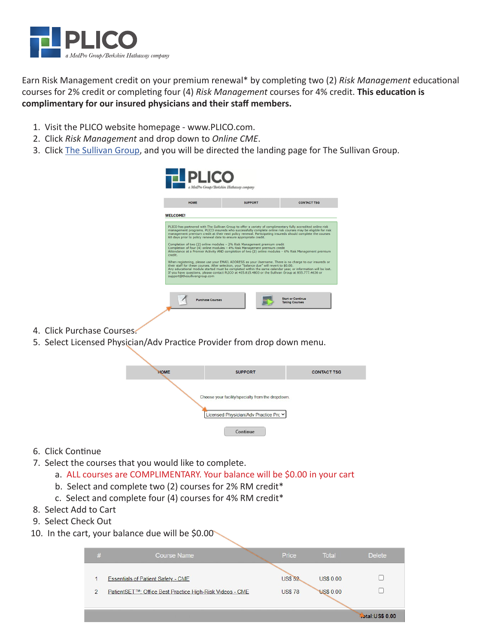

Earn Risk Management credit on your premium renewal\* by completing two (2) *Risk Management* educational courses for 2% credit or completing four (4) *Risk Management* courses for 4% credit. **This education is complimentary for our insured physicians and their staff members.**

- 1. Visit the PLICO website homepage www.PLICO.com.
- 2. Click *Risk Management* and drop down to *Online CME*.
- 3. Click The Sullivan Group, and you will be directed the landing page for The Sullivan Group.

| <b>HOME</b>     | <b>SUPPORT</b>                                                                                                                                 | <b>CONTACT TSG</b>                                                                                                                                                                                                       |
|-----------------|------------------------------------------------------------------------------------------------------------------------------------------------|--------------------------------------------------------------------------------------------------------------------------------------------------------------------------------------------------------------------------|
| <b>WELCOME!</b> |                                                                                                                                                |                                                                                                                                                                                                                          |
|                 | 60 days prior to policy renewal date to ensure appropriate credit.<br>Completion of two (2) online modules - 2% Risk Management premium credit | management programs. PLICO insureds who successfully complete online risk courses may be eligible for risk<br>management premium credit at their next policy renewal. Participating insureds should complete the courses |
| credit.         | Completion of four (4) online modules - 4% Risk Management premium credit                                                                      | Attendance at a Premier Activity AND completion of two (2) online modules - 6% Risk Management premium<br>When registering, please use your EMAIL ADDRESS as your Username. There is no charge to our insureds or        |

- 4. Click Purchase Courses.
- 5. Select Licensed Physician/Adv Practice Provider from drop down menu.

| <b>HOME</b> | <b>SUPPORT</b>                                    | <b>CONTACT TSG</b> |
|-------------|---------------------------------------------------|--------------------|
|             | Choose your facility/specialty from the dropdown. |                    |
|             | Licensed Physician/Adv Practice Prc v             |                    |
|             | Continue                                          |                    |

- 6. Click Continue
- 7. Select the courses that you would like to complete.
	- a. ALL courses are COMPLIMENTARY. Your balance will be \$0.00 in your cart
	- b. Select and complete two (2) courses for 2% RM credit\*
	- c. Select and complete four (4) courses for 4% RM credit\*
- 8. Select Add to Cart
- 9. Select Check Out
- 10. In the cart, your balance due will be \$0.00

| # | <b>Course Name</b>                                                                                    | Price                           | <b>Total</b>                         | <b>Delete</b>          |
|---|-------------------------------------------------------------------------------------------------------|---------------------------------|--------------------------------------|------------------------|
| 2 | <b>Essentials of Patient Safety - CME</b><br>PatientSET™: Office Best Practice High-Risk Videos - CME | <b>US\$ 52</b><br><b>US\$78</b> | <b>US\$ 0.00</b><br><b>US\$ 0.00</b> |                        |
|   |                                                                                                       |                                 |                                      | <b>Total:US\$ 0.00</b> |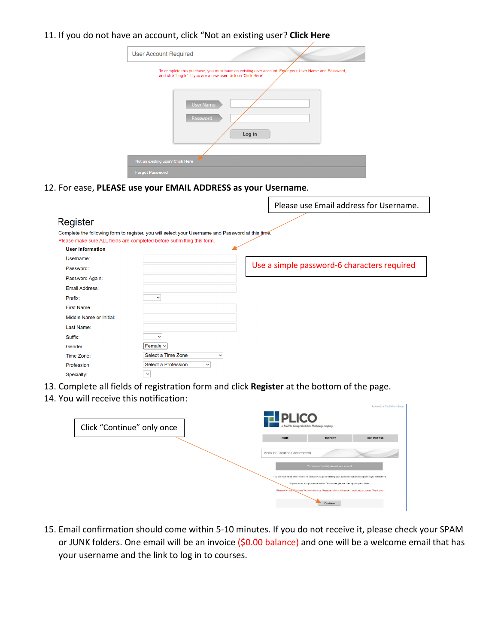## 11. If you do not have an account, click "Not an existing user? **Click Here**

| <b>User Account Required</b>                                                                                                                                                                                        |
|---------------------------------------------------------------------------------------------------------------------------------------------------------------------------------------------------------------------|
| To complete this purchase, you must have an existing user account. Enter your User Name and Password,<br>and click 'Log In'. If you are a new user click on 'Click Here'.<br><b>User Name</b><br>Password<br>Log in |
| Not an existing user? Click Here                                                                                                                                                                                    |
| <b>Forgot Password</b>                                                                                                                                                                                              |

 $\blacksquare$ 

bwered by The Sullivan Group

12. For ease, **PLEASE use your EMAIL ADDRESS as your Username**.

|                         |                                                                                                                                                                             | Please use Email address for Username.      |
|-------------------------|-----------------------------------------------------------------------------------------------------------------------------------------------------------------------------|---------------------------------------------|
| Register                |                                                                                                                                                                             |                                             |
|                         | Complete the following form to register, you will select your Username and Password at this time.<br>Please make sure ALL fields are completed before submitting this form. |                                             |
| <b>User Information</b> |                                                                                                                                                                             |                                             |
| Username:               |                                                                                                                                                                             |                                             |
| Password:               |                                                                                                                                                                             | Use a simple password-6 characters required |
| Password Again:         |                                                                                                                                                                             |                                             |
| Email Address:          |                                                                                                                                                                             |                                             |
| Prefix:                 | $\check{~}$                                                                                                                                                                 |                                             |
| <b>First Name:</b>      |                                                                                                                                                                             |                                             |
| Middle Name or Initial: |                                                                                                                                                                             |                                             |
| Last Name:              |                                                                                                                                                                             |                                             |
| Suffix:                 | $\check{~}$                                                                                                                                                                 |                                             |
| Gender:                 | Female $\sim$                                                                                                                                                               |                                             |
| Time Zone:              | Select a Time Zone<br>$\checkmark$                                                                                                                                          |                                             |
| Profession:             | Select a Profession<br>$\check{~}$                                                                                                                                          |                                             |
| Specialty:              | $\check{ }$                                                                                                                                                                 |                                             |

- 13. Complete all fields of registration form and click **Register** at the bottom of the page.
- 14. You will receive this notification:

| Click "Continue" only once | <b>TEPLICO</b><br>a MedPro Group/Berkshire Hathaway company |                                                                                                                                                                                                                                                                                                                                                                               |                    |
|----------------------------|-------------------------------------------------------------|-------------------------------------------------------------------------------------------------------------------------------------------------------------------------------------------------------------------------------------------------------------------------------------------------------------------------------------------------------------------------------|--------------------|
|                            | HOME                                                        | <b>SUPPORT</b>                                                                                                                                                                                                                                                                                                                                                                | <b>CONTACT TSG</b> |
|                            | Account Creation Confirmation                               | You have successfully created your account<br>You will receive an email from The Sullivan Group confirming your account creation along with login instructions.<br>If you cannot find your email within 30 minutes, please check your spam folder.<br>Please click the "Continue" button only once. Repeated clicks will result in multiple purchases. Thank you!<br>Continue |                    |

15. Email confirmation should come within 5-10 minutes. If you do not receive it, please check your SPAM or JUNK folders. One email will be an invoice (\$0.00 balance) and one will be a welcome email that has your username and the link to log in to courses.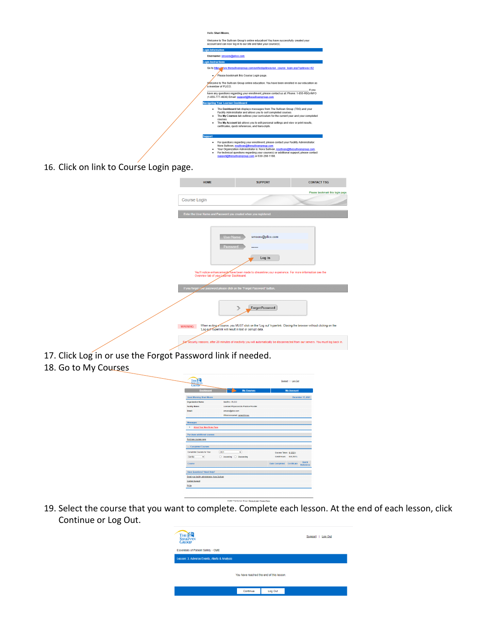| Hello Shari Moore.                                                                                                                                                                                                                                                                 |
|------------------------------------------------------------------------------------------------------------------------------------------------------------------------------------------------------------------------------------------------------------------------------------|
| Welcome to The Sullivan Group's online education! You have successfully created your<br>account and can now log in to our site and take your course(s).                                                                                                                            |
| <b>Login Information</b>                                                                                                                                                                                                                                                           |
| Username: smoore@plico.com                                                                                                                                                                                                                                                         |
| ogin Instructions                                                                                                                                                                                                                                                                  |
| Go to https://www.thesullivangroup.com/unifiedgateway/un_course_login.asp?gateway=92                                                                                                                                                                                               |
| Please bookmark this Course Login page.                                                                                                                                                                                                                                            |
| Welcome to The Sullivan Group online education. You have been enrolled in our education as<br>a member of PLICO<br>If you                                                                                                                                                          |
| have any questions regarding your enrollment, please contact us at: Phone: 1-855-RSQ-INFO<br>(1-855-777-4636) Email: support@thesullivangroup.com                                                                                                                                  |
| <b>Navigating Your Learner Dashboard</b>                                                                                                                                                                                                                                           |
| The Dashboard tab displays messages from The Sullivan Group (TSG) and your<br>٠<br>Facility Administrator and allows you to sort completed courses.<br>The My Courses tab outlines your curriculum for the current year and your completed<br>٠<br>courses.                        |
| The My Account tab allows you to edit personal settings and view or print results.<br>certificates, quick references, and transcripts.                                                                                                                                             |
| <b>Support</b>                                                                                                                                                                                                                                                                     |
| For questions regarding your enrollment, please contact your Facility Administrator:<br>٠                                                                                                                                                                                          |
| Nora Sullivan, nsullivan@thesullivangroup.com<br>Your Organization Administrator is: Nora Sullivan, nsullivan@thesullivangroup.com.<br>٠<br>For technical questions regarding your course(s) or additional support, please contact<br>cunnort@thecullivangroup com or 630-269-1199 |

16. Click on link to Course Login page.

|                                                                   | <b>SUPPORT</b>                                                            | <b>CONTACT TSG</b>                                                                                                                            |                                  |
|-------------------------------------------------------------------|---------------------------------------------------------------------------|-----------------------------------------------------------------------------------------------------------------------------------------------|----------------------------------|
|                                                                   |                                                                           |                                                                                                                                               | Please bookmark this login page. |
|                                                                   |                                                                           |                                                                                                                                               |                                  |
| Enter the User Name and Password you created when you registered. |                                                                           |                                                                                                                                               |                                  |
|                                                                   | smoore@plico.com                                                          |                                                                                                                                               |                                  |
|                                                                   | Log in                                                                    |                                                                                                                                               |                                  |
|                                                                   |                                                                           | You'll notice enhancements have been made to streamline your experience. For more information see the Overview tab of your Learner Dashboard. |                                  |
|                                                                   | If you forgot your password please click on the "Forgot Password" button. |                                                                                                                                               |                                  |
|                                                                   | <b>Forgot Password</b>                                                    |                                                                                                                                               |                                  |
| 'Log out hyperlink will result in lost or corrupt data.           |                                                                           | When exiting a course, you MUST click on the 'Log out' hyperlink. Closing the browser without clicking on the                                 |                                  |
|                                                                   |                                                                           | Eer security reasons, after 20 minutes of inactivity you will automatically be disconnected from our servers. You must log back in.           |                                  |

- 17. Click Log in or use the Forgot Password link if needed.
- 18. Go to My Courses

| <b>Dashboard</b>                                                                                                        | <b>My Courses</b>                        | <b>My Account</b>                                          |
|-------------------------------------------------------------------------------------------------------------------------|------------------------------------------|------------------------------------------------------------|
| <b>Good Morning Shari Moore</b>                                                                                         |                                          | December 17, 2021                                          |
| <b>Organization Name:</b>                                                                                               | MedPro - PLICO                           |                                                            |
| Facility Name:                                                                                                          | Licensed Physician/Adv Practice Provider |                                                            |
| <b>Fmall:</b>                                                                                                           | smoore@plico.com                         |                                                            |
|                                                                                                                         | If this is incorrect, gomeclift now.     |                                                            |
|                                                                                                                         |                                          |                                                            |
|                                                                                                                         |                                          |                                                            |
| <b>About Your New Home Page</b><br>٠                                                                                    |                                          |                                                            |
| - Completed Courses                                                                                                     |                                          |                                                            |
|                                                                                                                         | 2021<br>$\checkmark$                     | Courses Taken: 0.(2021)                                    |
| Sort By<br>◡                                                                                                            | Ascending C Descending<br>o              | <b>Credit Hours:</b><br>0.0(2021)                          |
| <b>Messages</b><br><b>Purchase additional courses</b><br>Purchase courses page<br>Completed Courses for Year:<br>Course |                                          | Quick<br><b>Date Completed</b><br>Certificate<br>Reference |
| <b>Have Questions? Need Help?</b>                                                                                       |                                          |                                                            |

19. Select the course that you want to complete. Complete each lesson. At the end of each lesson, click Continue or Log Out.

| <b>THE MAN</b><br><b>GROUP</b><br>Essentials of Patient Safety - CME |                                         |         | Support   Log Out |
|----------------------------------------------------------------------|-----------------------------------------|---------|-------------------|
| Lesson: 3. Adverse Events, Alerts & Analysis                         |                                         |         |                   |
|                                                                      | You have reached the end of this lesson |         |                   |
|                                                                      | Continue                                | Log Out |                   |